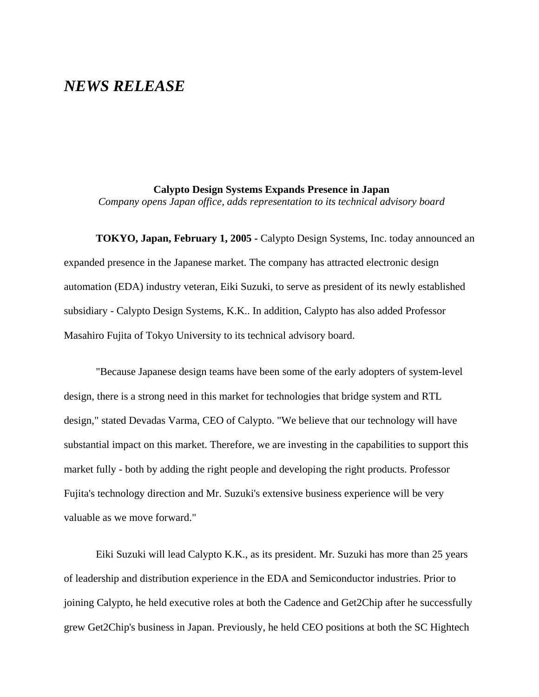## *NEWS RELEASE*

## **Calypto Design Systems Expands Presence in Japan**

*Company opens Japan office, adds representation to its technical advisory board*

**TOKYO, Japan, February 1, 2005 -** Calypto Design Systems, Inc. today announced an expanded presence in the Japanese market. The company has attracted electronic design automation (EDA) industry veteran, Eiki Suzuki, to serve as president of its newly established subsidiary - Calypto Design Systems, K.K.. In addition, Calypto has also added Professor Masahiro Fujita of Tokyo University to its technical advisory board.

"Because Japanese design teams have been some of the early adopters of system-level design, there is a strong need in this market for technologies that bridge system and RTL design," stated Devadas Varma, CEO of Calypto. "We believe that our technology will have substantial impact on this market. Therefore, we are investing in the capabilities to support this market fully - both by adding the right people and developing the right products. Professor Fujita's technology direction and Mr. Suzuki's extensive business experience will be very valuable as we move forward."

Eiki Suzuki will lead Calypto K.K., as its president. Mr. Suzuki has more than 25 years of leadership and distribution experience in the EDA and Semiconductor industries. Prior to joining Calypto, he held executive roles at both the Cadence and Get2Chip after he successfully grew Get2Chip's business in Japan. Previously, he held CEO positions at both the SC Hightech